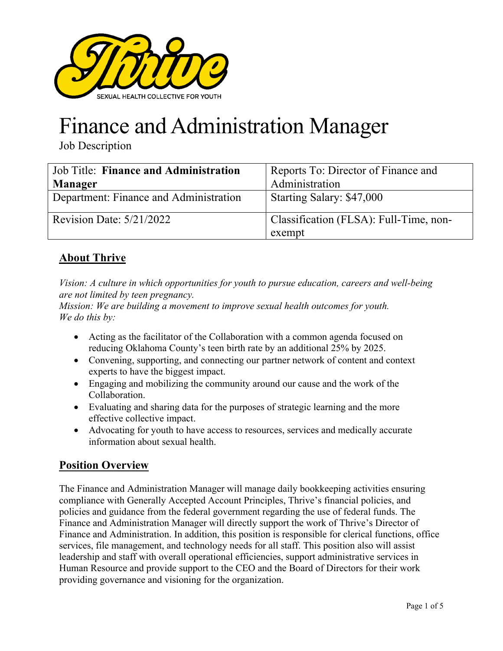

# Finance and Administration Manager

Job Description

| <b>Job Title: Finance and Administration</b> | Reports To: Director of Finance and    |
|----------------------------------------------|----------------------------------------|
| Manager                                      | Administration                         |
| Department: Finance and Administration       | Starting Salary: \$47,000              |
| Revision Date: $5/21/2022$                   | Classification (FLSA): Full-Time, non- |
|                                              | exempt                                 |

# **About Thrive**

*Vision: A culture in which opportunities for youth to pursue education, careers and well-being are not limited by teen pregnancy.* 

*Mission: We are building a movement to improve sexual health outcomes for youth. We do this by:* 

- Acting as the facilitator of the Collaboration with a common agenda focused on reducing Oklahoma County's teen birth rate by an additional 25% by 2025.
- Convening, supporting, and connecting our partner network of content and context experts to have the biggest impact.
- Engaging and mobilizing the community around our cause and the work of the Collaboration.
- Evaluating and sharing data for the purposes of strategic learning and the more effective collective impact.
- Advocating for youth to have access to resources, services and medically accurate information about sexual health.

## **Position Overview**

The Finance and Administration Manager will manage daily bookkeeping activities ensuring compliance with Generally Accepted Account Principles, Thrive's financial policies, and policies and guidance from the federal government regarding the use of federal funds. The Finance and Administration Manager will directly support the work of Thrive's Director of Finance and Administration. In addition, this position is responsible for clerical functions, office services, file management, and technology needs for all staff. This position also will assist leadership and staff with overall operational efficiencies, support administrative services in Human Resource and provide support to the CEO and the Board of Directors for their work providing governance and visioning for the organization.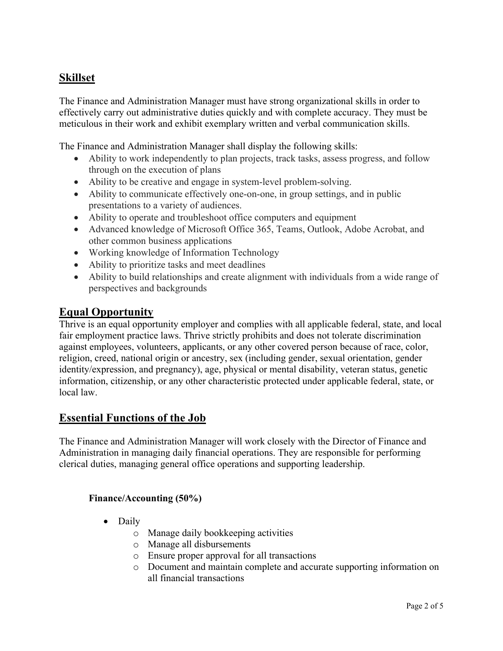## **Skillset**

The Finance and Administration Manager must have strong organizational skills in order to effectively carry out administrative duties quickly and with complete accuracy. They must be meticulous in their work and exhibit exemplary written and verbal communication skills.

The Finance and Administration Manager shall display the following skills:

- Ability to work independently to plan projects, track tasks, assess progress, and follow through on the execution of plans
- Ability to be creative and engage in system-level problem-solving.
- Ability to communicate effectively one-on-one, in group settings, and in public presentations to a variety of audiences.
- Ability to operate and troubleshoot office computers and equipment
- Advanced knowledge of Microsoft Office 365, Teams, Outlook, Adobe Acrobat, and other common business applications
- Working knowledge of Information Technology
- Ability to prioritize tasks and meet deadlines
- Ability to build relationships and create alignment with individuals from a wide range of perspectives and backgrounds

#### **Equal Opportunity**

Thrive is an equal opportunity employer and complies with all applicable federal, state, and local fair employment practice laws. Thrive strictly prohibits and does not tolerate discrimination against employees, volunteers, applicants, or any other covered person because of race, color, religion, creed, national origin or ancestry, sex (including gender, sexual orientation, gender identity/expression, and pregnancy), age, physical or mental disability, veteran status, genetic information, citizenship, or any other characteristic protected under applicable federal, state, or local law.

## **Essential Functions of the Job**

The Finance and Administration Manager will work closely with the Director of Finance and Administration in managing daily financial operations. They are responsible for performing clerical duties, managing general office operations and supporting leadership.

#### **Finance/Accounting (50%)**

- Daily
	- o Manage daily bookkeeping activities
	- o Manage all disbursements
	- o Ensure proper approval for all transactions
	- o Document and maintain complete and accurate supporting information on all financial transactions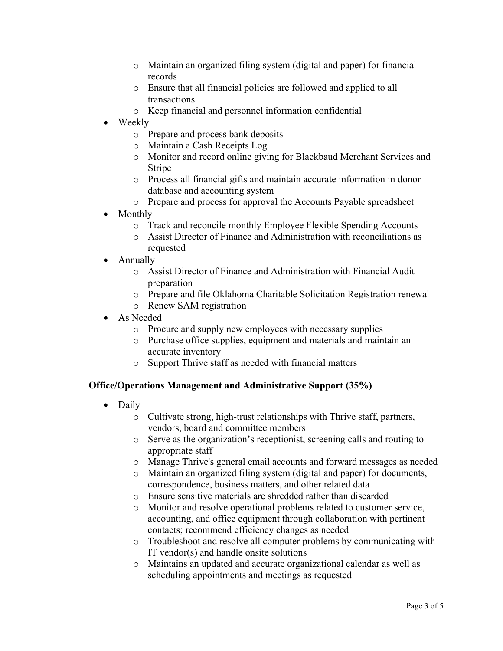- o Maintain an organized filing system (digital and paper) for financial records
- o Ensure that all financial policies are followed and applied to all transactions
- o Keep financial and personnel information confidential
- Weekly
	- o Prepare and process bank deposits
	- o Maintain a Cash Receipts Log
	- o Monitor and record online giving for Blackbaud Merchant Services and Stripe
	- o Process all financial gifts and maintain accurate information in donor database and accounting system
	- o Prepare and process for approval the Accounts Payable spreadsheet
- Monthly
	- o Track and reconcile monthly Employee Flexible Spending Accounts
	- o Assist Director of Finance and Administration with reconciliations as requested
- Annually
	- o Assist Director of Finance and Administration with Financial Audit preparation
	- o Prepare and file Oklahoma Charitable Solicitation Registration renewal
	- o Renew SAM registration
- As Needed
	- o Procure and supply new employees with necessary supplies
	- o Purchase office supplies, equipment and materials and maintain an accurate inventory
	- o Support Thrive staff as needed with financial matters

#### **Office/Operations Management and Administrative Support (35%)**

- Daily
	- o Cultivate strong, high-trust relationships with Thrive staff, partners, vendors, board and committee members
	- o Serve as the organization's receptionist, screening calls and routing to appropriate staff
	- o Manage Thrive's general email accounts and forward messages as needed
	- o Maintain an organized filing system (digital and paper) for documents, correspondence, business matters, and other related data
	- o Ensure sensitive materials are shredded rather than discarded
	- o Monitor and resolve operational problems related to customer service, accounting, and office equipment through collaboration with pertinent contacts; recommend efficiency changes as needed
	- o Troubleshoot and resolve all computer problems by communicating with IT vendor(s) and handle onsite solutions
	- o Maintains an updated and accurate organizational calendar as well as scheduling appointments and meetings as requested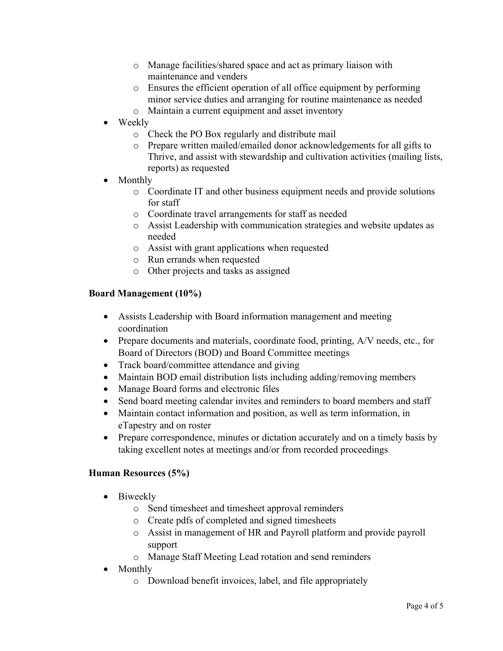- o Manage facilities/shared space and act as primary liaison with maintenance and venders
- o Ensures the efficient operation of all office equipment by performing minor service duties and arranging for routine maintenance as needed
- o Maintain a current equipment and asset inventory
- Weekly
	- o Check the PO Box regularly and distribute mail
	- o Prepare written mailed/emailed donor acknowledgements for all gifts to Thrive, and assist with stewardship and cultivation activities (mailing lists, reports) as requested
- Monthly
	- o Coordinate IT and other business equipment needs and provide solutions for staff
	- o Coordinate travel arrangements for staff as needed
	- o Assist Leadership with communication strategies and website updates as needed
	- o Assist with grant applications when requested
	- o Run errands when requested
	- o Other projects and tasks as assigned

#### **Board Management (10%)**

- Assists Leadership with Board information management and meeting coordination
- Prepare documents and materials, coordinate food, printing, A/V needs, etc., for Board of Directors (BOD) and Board Committee meetings
- Track board/committee attendance and giving
- Maintain BOD email distribution lists including adding/removing members
- Manage Board forms and electronic files
- Send board meeting calendar invites and reminders to board members and staff
- Maintain contact information and position, as well as term information, in eTapestry and on roster
- Prepare correspondence, minutes or dictation accurately and on a timely basis by taking excellent notes at meetings and/or from recorded proceedings

#### **Human Resources (5%)**

- Biweekly
	- o Send timesheet and timesheet approval reminders
	- o Create pdfs of completed and signed timesheets
	- o Assist in management of HR and Payroll platform and provide payroll support
	- o Manage Staff Meeting Lead rotation and send reminders
- Monthly
	- o Download benefit invoices, label, and file appropriately